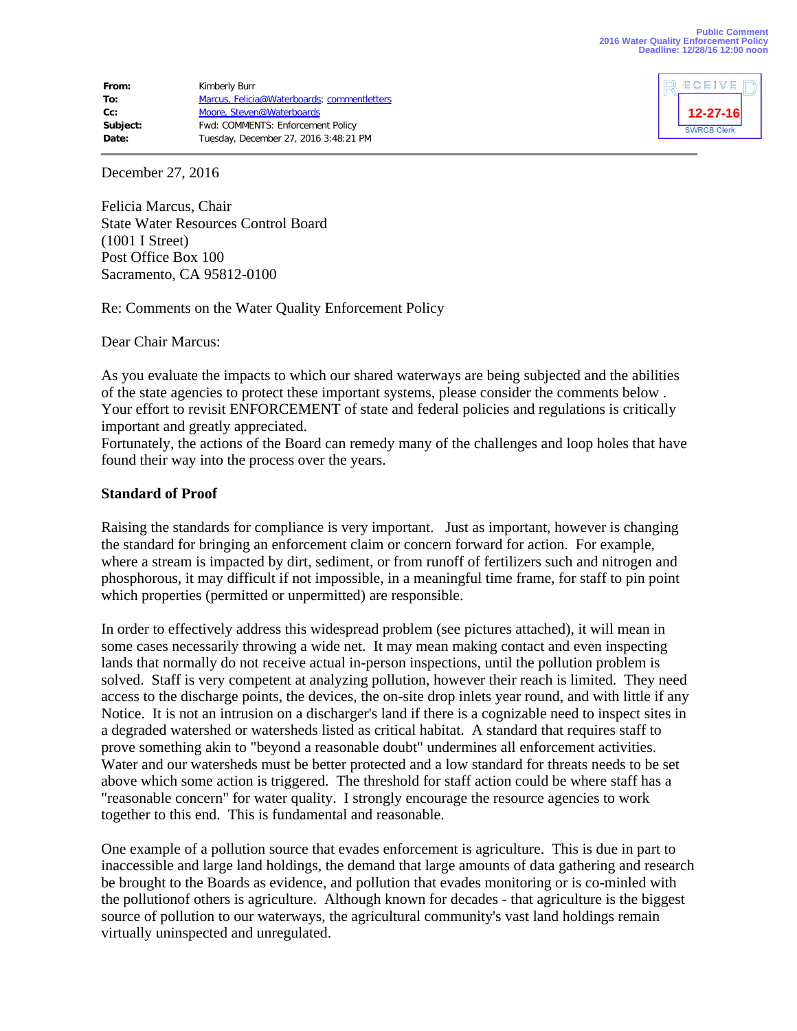| From:    | Kimberly Burr                               |
|----------|---------------------------------------------|
| To:      | Marcus, Felicia@Waterboards; commentletters |
| $Cc$ :   | Moore, Steven@Waterboards                   |
| Subject: | Fwd: COMMENTS: Enforcement Policy           |
| Date:    | Tuesday, December 27, 2016 3:48:21 PM       |



December 27, 2016

Felicia Marcus, Chair State Water Resources Control Board (1001 I Street) Post Office Box 100 Sacramento, CA 95812-0100

Re: Comments on the Water Quality Enforcement Policy

Dear Chair Marcus:

As you evaluate the impacts to which our shared waterways are being subjected and the abilities of the state agencies to protect these important systems, please consider the comments below . Your effort to revisit ENFORCEMENT of state and federal policies and regulations is critically important and greatly appreciated.

Fortunately, the actions of the Board can remedy many of the challenges and loop holes that have found their way into the process over the years.

### **Standard of Proof**

Raising the standards for compliance is very important. Just as important, however is changing the standard for bringing an enforcement claim or concern forward for action. For example, where a stream is impacted by dirt, sediment, or from runoff of fertilizers such and nitrogen and phosphorous, it may difficult if not impossible, in a meaningful time frame, for staff to pin point which properties (permitted or unpermitted) are responsible.

In order to effectively address this widespread problem (see pictures attached), it will mean in some cases necessarily throwing a wide net. It may mean making contact and even inspecting lands that normally do not receive actual in-person inspections, until the pollution problem is solved. Staff is very competent at analyzing pollution, however their reach is limited. They need access to the discharge points, the devices, the on-site drop inlets year round, and with little if any Notice. It is not an intrusion on a discharger's land if there is a cognizable need to inspect sites in a degraded watershed or watersheds listed as critical habitat. A standard that requires staff to prove something akin to "beyond a reasonable doubt" undermines all enforcement activities. Water and our watersheds must be better protected and a low standard for threats needs to be set above which some action is triggered. The threshold for staff action could be where staff has a "reasonable concern" for water quality. I strongly encourage the resource agencies to work together to this end. This is fundamental and reasonable.

One example of a pollution source that evades enforcement is agriculture. This is due in part to inaccessible and large land holdings, the demand that large amounts of data gathering and research be brought to the Boards as evidence, and pollution that evades monitoring or is co-minled with the pollutionof others is agriculture. Although known for decades - that agriculture is the biggest source of pollution to our waterways, the agricultural community's vast land holdings remain virtually uninspected and unregulated.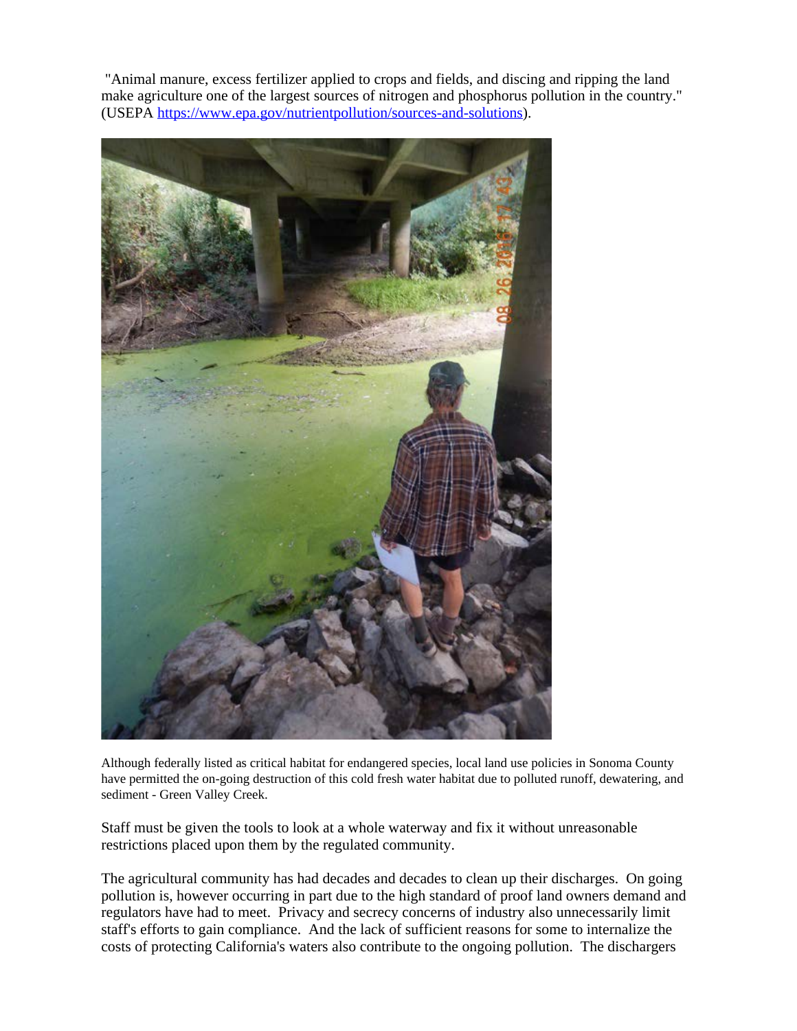"Animal manure, excess fertilizer applied to crops and fields, and discing and ripping the land make agriculture one of the largest sources of nitrogen and phosphorus pollution in the country." (USEPA [https://www.epa.gov/nutrientpollution/sources-and-solutions\)](https://www.epa.gov/nutrientpollution/sources-and-solutions).



Although federally listed as critical habitat for endangered species, local land use policies in Sonoma County have permitted the on-going destruction of this cold fresh water habitat due to polluted runoff, dewatering, and sediment - Green Valley Creek.

Staff must be given the tools to look at a whole waterway and fix it without unreasonable restrictions placed upon them by the regulated community.

The agricultural community has had decades and decades to clean up their discharges. On going pollution is, however occurring in part due to the high standard of proof land owners demand and regulators have had to meet. Privacy and secrecy concerns of industry also unnecessarily limit staff's efforts to gain compliance. And the lack of sufficient reasons for some to internalize the costs of protecting California's waters also contribute to the ongoing pollution. The dischargers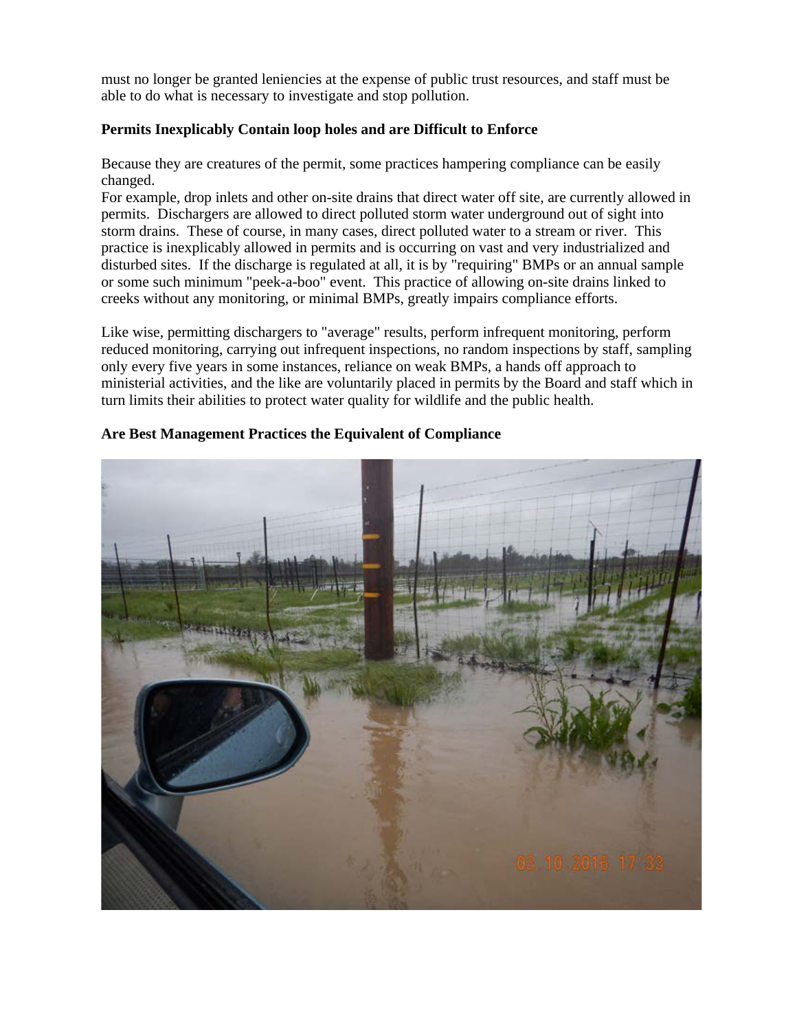must no longer be granted leniencies at the expense of public trust resources, and staff must be able to do what is necessary to investigate and stop pollution.

# **Permits Inexplicably Contain loop holes and are Difficult to Enforce**

Because they are creatures of the permit, some practices hampering compliance can be easily changed.

For example, drop inlets and other on-site drains that direct water off site, are currently allowed in permits. Dischargers are allowed to direct polluted storm water underground out of sight into storm drains. These of course, in many cases, direct polluted water to a stream or river. This practice is inexplicably allowed in permits and is occurring on vast and very industrialized and disturbed sites. If the discharge is regulated at all, it is by "requiring" BMPs or an annual sample or some such minimum "peek-a-boo" event. This practice of allowing on-site drains linked to creeks without any monitoring, or minimal BMPs, greatly impairs compliance efforts.

Like wise, permitting dischargers to "average" results, perform infrequent monitoring, perform reduced monitoring, carrying out infrequent inspections, no random inspections by staff, sampling only every five years in some instances, reliance on weak BMPs, a hands off approach to ministerial activities, and the like are voluntarily placed in permits by the Board and staff which in turn limits their abilities to protect water quality for wildlife and the public health.



# **Are Best Management Practices the Equivalent of Compliance**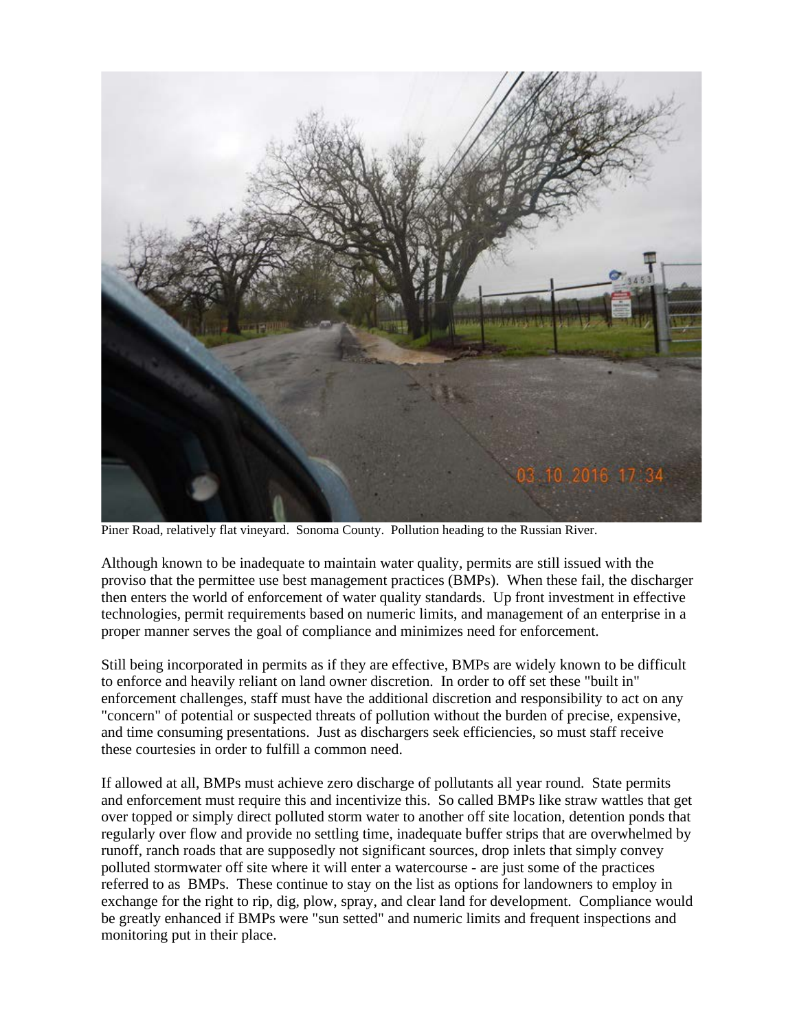

Piner Road, relatively flat vineyard. Sonoma County. Pollution heading to the Russian River.

Although known to be inadequate to maintain water quality, permits are still issued with the proviso that the permittee use best management practices (BMPs). When these fail, the discharger then enters the world of enforcement of water quality standards. Up front investment in effective technologies, permit requirements based on numeric limits, and management of an enterprise in a proper manner serves the goal of compliance and minimizes need for enforcement.

Still being incorporated in permits as if they are effective, BMPs are widely known to be difficult to enforce and heavily reliant on land owner discretion. In order to off set these "built in" enforcement challenges, staff must have the additional discretion and responsibility to act on any "concern" of potential or suspected threats of pollution without the burden of precise, expensive, and time consuming presentations. Just as dischargers seek efficiencies, so must staff receive these courtesies in order to fulfill a common need.

If allowed at all, BMPs must achieve zero discharge of pollutants all year round. State permits and enforcement must require this and incentivize this. So called BMPs like straw wattles that get over topped or simply direct polluted storm water to another off site location, detention ponds that regularly over flow and provide no settling time, inadequate buffer strips that are overwhelmed by runoff, ranch roads that are supposedly not significant sources, drop inlets that simply convey polluted stormwater off site where it will enter a watercourse - are just some of the practices referred to as BMPs. These continue to stay on the list as options for landowners to employ in exchange for the right to rip, dig, plow, spray, and clear land for development. Compliance would be greatly enhanced if BMPs were "sun setted" and numeric limits and frequent inspections and monitoring put in their place.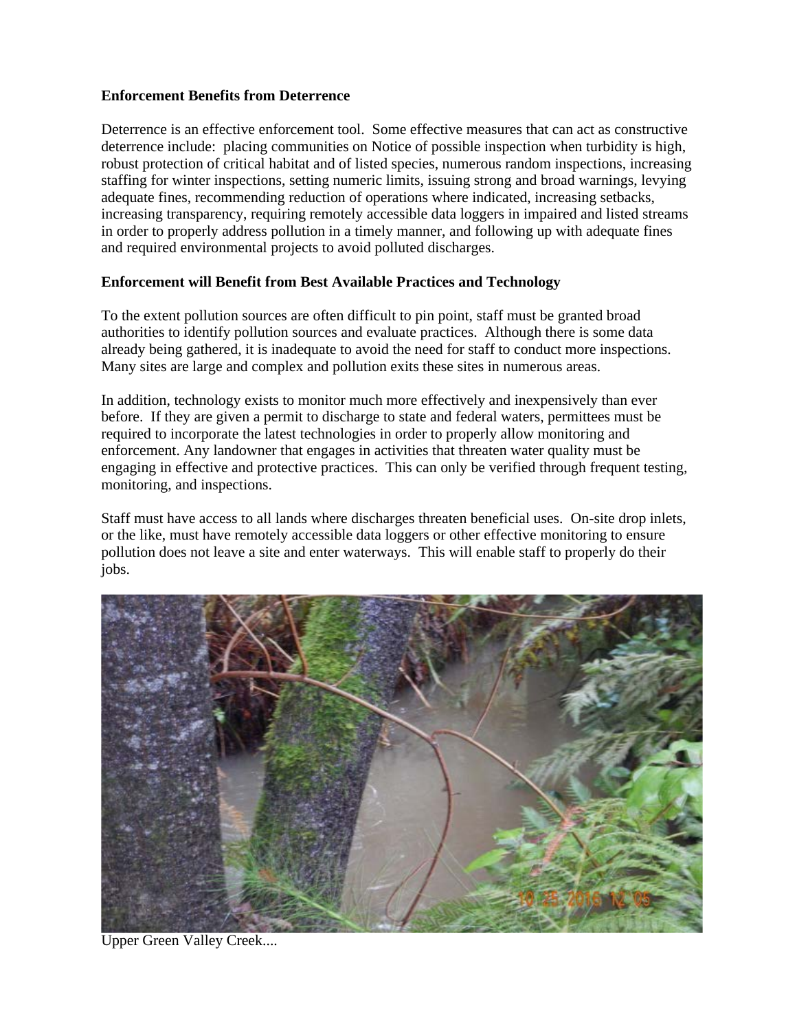## **Enforcement Benefits from Deterrence**

Deterrence is an effective enforcement tool. Some effective measures that can act as constructive deterrence include: placing communities on Notice of possible inspection when turbidity is high, robust protection of critical habitat and of listed species, numerous random inspections, increasing staffing for winter inspections, setting numeric limits, issuing strong and broad warnings, levying adequate fines, recommending reduction of operations where indicated, increasing setbacks, increasing transparency, requiring remotely accessible data loggers in impaired and listed streams in order to properly address pollution in a timely manner, and following up with adequate fines and required environmental projects to avoid polluted discharges.

# **Enforcement will Benefit from Best Available Practices and Technology**

To the extent pollution sources are often difficult to pin point, staff must be granted broad authorities to identify pollution sources and evaluate practices. Although there is some data already being gathered, it is inadequate to avoid the need for staff to conduct more inspections. Many sites are large and complex and pollution exits these sites in numerous areas.

In addition, technology exists to monitor much more effectively and inexpensively than ever before. If they are given a permit to discharge to state and federal waters, permittees must be required to incorporate the latest technologies in order to properly allow monitoring and enforcement. Any landowner that engages in activities that threaten water quality must be engaging in effective and protective practices. This can only be verified through frequent testing, monitoring, and inspections.

Staff must have access to all lands where discharges threaten beneficial uses. On-site drop inlets, or the like, must have remotely accessible data loggers or other effective monitoring to ensure pollution does not leave a site and enter waterways. This will enable staff to properly do their jobs.



Upper Green Valley Creek....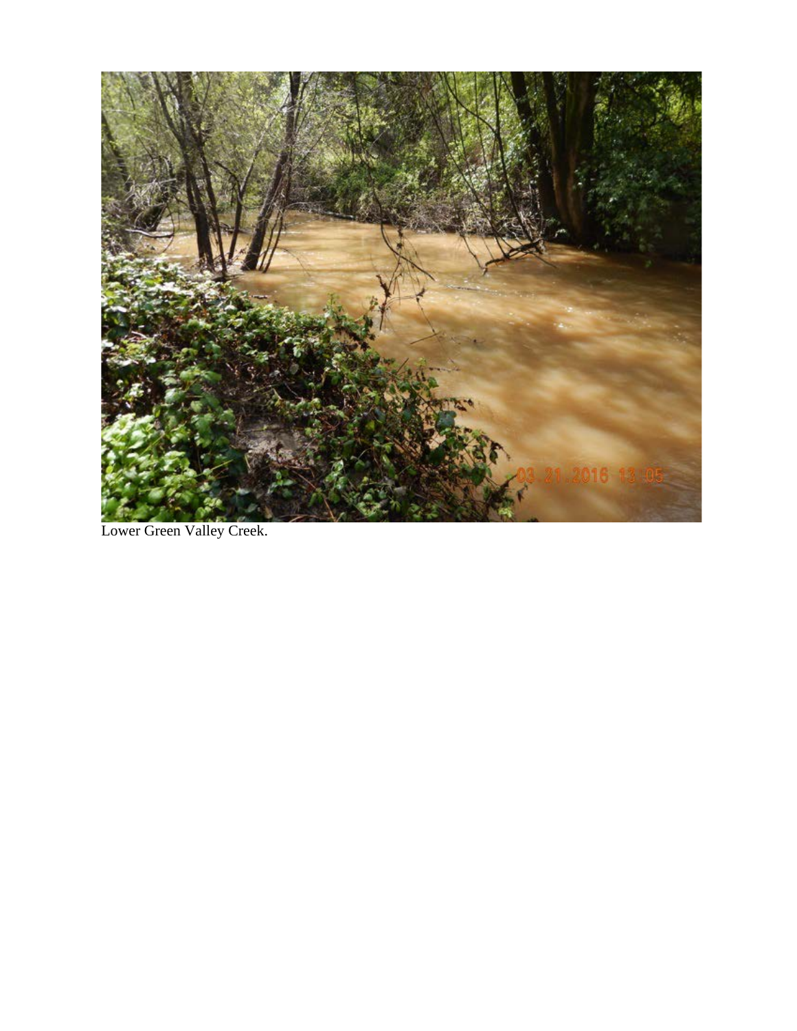

Lower Green Valley Creek.